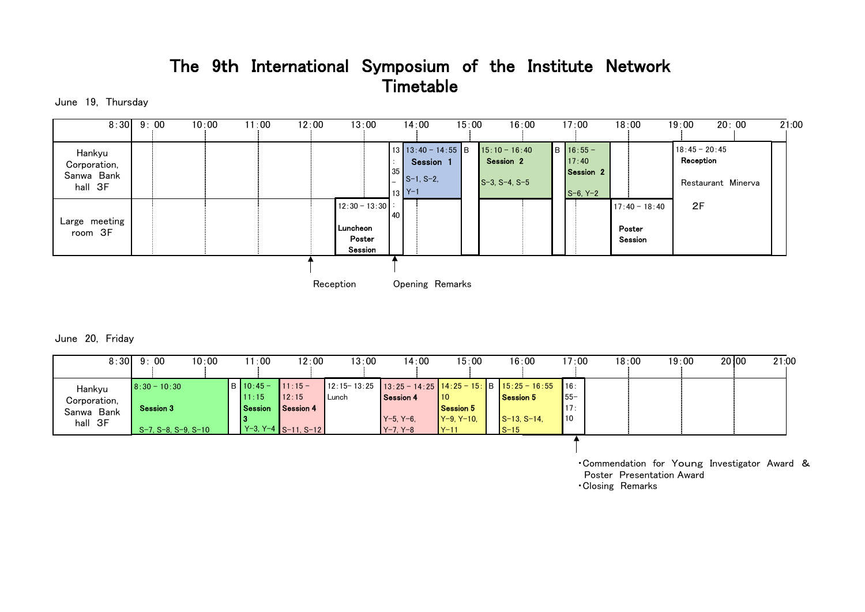# The 9th International Symposium of the Institute Network **Timetable**

June 19, Thursday

| 8:30          | 9:00 | 10:00 | 11:00<br>12:00 | 13:00             |           | 14:00                          | 15:00 | 16:00                 |  | 17:00                | 18:00           | 20:00<br>19:00     | 21:00 |
|---------------|------|-------|----------------|-------------------|-----------|--------------------------------|-------|-----------------------|--|----------------------|-----------------|--------------------|-------|
|               |      |       |                |                   |           |                                |       |                       |  |                      |                 |                    |       |
| Hankyu        |      |       |                |                   |           | $13 \mid 13:40 - 14:55 \mid B$ |       | $15:10 - 16:40$       |  | $B$ 16:55 -          |                 | $18:45 - 20:45$    |       |
| Corporation,  |      |       |                |                   |           | Session 1                      |       | Session 2             |  | 17:40                |                 | Reception          |       |
| Sanwa Bank    |      |       |                |                   | 35        | $S-1, S-2.$                    |       |                       |  | Session <sub>2</sub> |                 |                    |       |
| hall 3F       |      |       |                |                   |           |                                |       | $S-3$ , $S-4$ , $S-5$ |  |                      |                 | Restaurant Minerva |       |
|               |      |       |                |                   |           | $13$ $Y-1$                     |       |                       |  | $S-6, Y-2$           |                 |                    |       |
|               |      |       |                | $12:30 - 13:30$ : | <b>40</b> |                                |       |                       |  |                      | $17:40 - 18:40$ | 2F                 |       |
| Large meeting |      |       |                |                   |           |                                |       |                       |  |                      |                 |                    |       |
| room 3F       |      |       |                | Luncheon          |           |                                |       |                       |  |                      | Poster          |                    |       |
|               |      |       |                | Poster            |           |                                |       |                       |  |                      | Session         |                    |       |
|               |      |       |                | Session           |           |                                |       |                       |  |                      |                 |                    |       |
|               |      |       |                |                   |           |                                |       |                       |  |                      |                 |                    |       |
|               |      |       |                | Reception         |           | Opening Remarks                |       |                       |  |                      |                 |                    |       |

June 20, Friday

| 8:30                                            | 9:00                                                      | 10:00 | 1:00                               | 12:00                                                     | 13:00 | 14:00                                      | 15:00                                             | 16:00                                                                                            | 17:00                        | 18:00 | 19:00 | 20 00 | 21:00 |
|-------------------------------------------------|-----------------------------------------------------------|-------|------------------------------------|-----------------------------------------------------------|-------|--------------------------------------------|---------------------------------------------------|--------------------------------------------------------------------------------------------------|------------------------------|-------|-------|-------|-------|
| Hankyu<br>Corporation,<br>Sanwa Bank<br>hall 3F | $8:30 - 10:30$<br><b>Session 3</b><br>S-7, S-8, S-9, S-10 |       | $IB$ 10:45 -<br>11:15<br>l Session | $11:15 -$<br>112:15<br>Session 4<br>$Y-3, Y-4$ S-11, S-12 | Lunch | Session 4<br>$Y-5. Y-6.$<br>$Y - 7. Y - 8$ | 110<br><b>Session 5</b><br>$Y-9. Y-10.$<br>$Y-11$ | $12:15-13:25$ $13:25-14:25$ $14:25-15$ : B $15:25-16:55$<br>Session 5<br>$S-13. S-14.$<br>$S-15$ | 16:<br>$155-$<br>117:<br>110 |       |       |       |       |
|                                                 |                                                           |       |                                    |                                                           |       |                                            |                                                   |                                                                                                  |                              |       |       |       |       |

・Commendation for Young Investigator Award & Poster Presentation Award ・Closing Remarks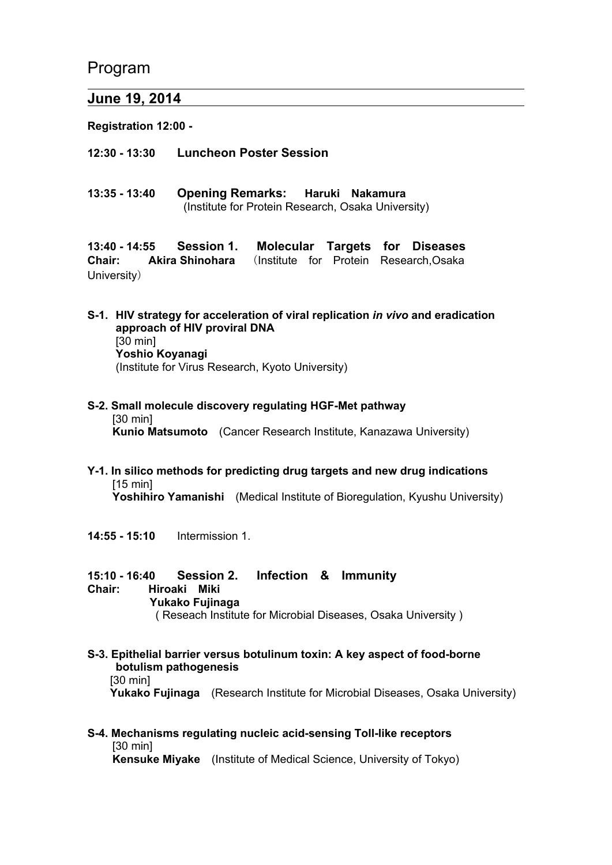Program

 $\overline{a}$ 

# **June 19, 2014**

**Registration 12:00 -** 

**12:30 - 13:30 Luncheon Poster Session** 

**13:35 - 13:40 Opening Remarks: Haruki Nakamura**  (Institute for Protein Research, Osaka University)

**13:40 - 14:55 Session 1. Molecular Targets for Diseases Chair: Akira Shinohara** (Institute for Protein Research,Osaka University)

- **S-1. HIV strategy for acceleration of viral replication** *in vivo* **and eradication approach of HIV proviral DNA**  [30 min] **Yoshio Koyanagi** (Institute for Virus Research, Kyoto University)
- **S-2. Small molecule discovery regulating HGF-Met pathway**  [30 min] **Kunio Matsumoto** (Cancer Research Institute, Kanazawa University)
- **Y-1. In silico methods for predicting drug targets and new drug indications**  [15 min] **Yoshihiro Yamanishi** (Medical Institute of Bioregulation, Kyushu University)
- **14:55 15:10** Intermission 1.
- **15:10 16:40 Session 2. Infection & Immunity Chair: Hiroaki Miki Yukako Fujinaga** ( Reseach Institute for Microbial Diseases, Osaka University )
- **S-3. Epithelial barrier versus botulinum toxin: A key aspect of food-borne botulism pathogenesis**  [30 min] **Yukako Fujinaga** (Research Institute for Microbial Diseases, Osaka University)
- **S-4. Mechanisms regulating nucleic acid-sensing Toll-like receptors** [30 min] **Kensuke Miyake** (Institute of Medical Science, University of Tokyo)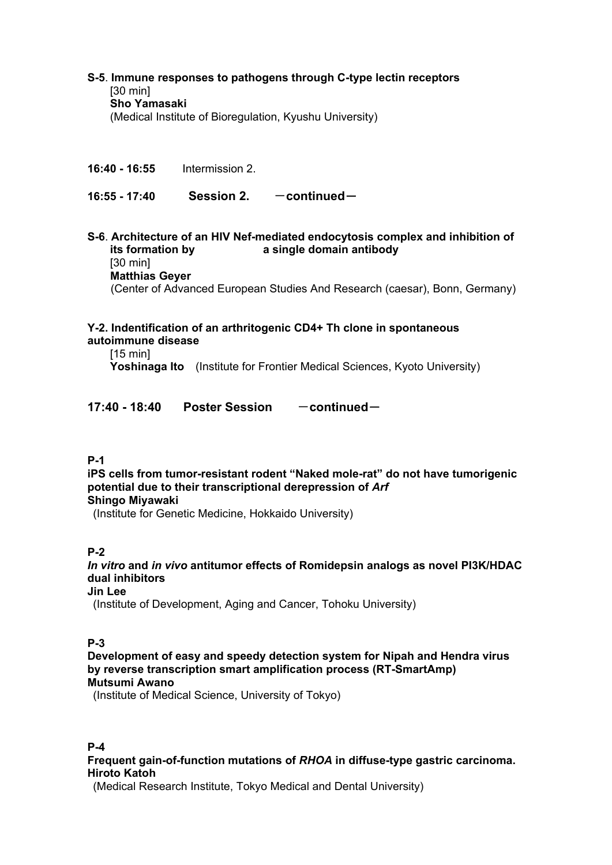#### **S-5**. **Immune responses to pathogens through C-type lectin receptors** [30 min] **Sho Yamasaki**  (Medical Institute of Bioregulation, Kyushu University)

**16:40 - 16:55** Intermission 2.

16:55 - 17:40 **Session 2.** - continued -

**S-6**. **Architecture of an HIV Nef-mediated endocytosis complex and inhibition of its formation by a single domain antibody**  [30 min] **Matthias Geyer** (Center of Advanced European Studies And Research (caesar), Bonn, Germany)

#### **Y-2. Indentification of an arthritogenic CD4+ Th clone in spontaneous autoimmune disease**

[15 min]

**Yoshinaga Ito** (Institute for Frontier Medical Sciences, Kyoto University)

## 17:40 - 18:40 Poster Session — continued

## **P-1**

**iPS cells from tumor-resistant rodent "Naked mole-rat" do not have tumorigenic potential due to their transcriptional derepression of** *Arf* **Shingo Miyawaki**

(Institute for Genetic Medicine, Hokkaido University)

## **P-2**

*In vitro* **and** *in vivo* **antitumor effects of Romidepsin analogs as novel PI3K/HDAC dual inhibitors** 

## **Jin Lee**

(Institute of Development, Aging and Cancer, Tohoku University)

## **P-3**

**Development of easy and speedy detection system for Nipah and Hendra virus by reverse transcription smart amplification process (RT-SmartAmp) Mutsumi Awano** 

(Institute of Medical Science, University of Tokyo)

## **P-4**

**Frequent gain-of-function mutations of** *RHOA* **in diffuse-type gastric carcinoma. Hiroto Katoh** 

(Medical Research Institute, Tokyo Medical and Dental University)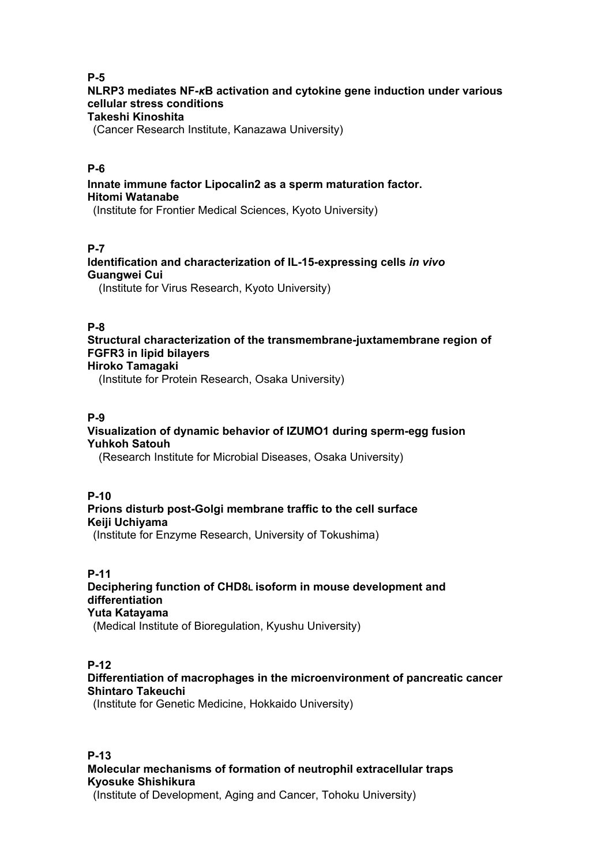## **P-5**

# **NLRP3 mediates NF-***κ***B activation and cytokine gene induction under various cellular stress conditions**

## **Takeshi Kinoshita**

(Cancer Research Institute, Kanazawa University)

## **P-6**

**Innate immune factor Lipocalin2 as a sperm maturation factor. Hitomi Watanabe** 

(Institute for Frontier Medical Sciences, Kyoto University)

# **P-7**

**Identification and characterization of IL-15-expressing cells** *in vivo* **Guangwei Cui** 

(Institute for Virus Research, Kyoto University)

## **P-8**

**Structural characterization of the transmembrane-juxtamembrane region of FGFR3 in lipid bilayers Hiroko Tamagaki** 

(Institute for Protein Research, Osaka University)

## **P-9**

#### **Visualization of dynamic behavior of IZUMO1 during sperm-egg fusion Yuhkoh Satouh**

(Research Institute for Microbial Diseases, Osaka University)

#### **P-10**

# **Prions disturb post-Golgi membrane traffic to the cell surface Keiji Uchiyama**

(Institute for Enzyme Research, University of Tokushima)

# **P-11**

#### **Deciphering function of CHD8L isoform in mouse development and differentiation Yuta Katayama**

(Medical Institute of Bioregulation, Kyushu University)

## **P-12**

## **Differentiation of macrophages in the microenvironment of pancreatic cancer Shintaro Takeuchi**

(Institute for Genetic Medicine, Hokkaido University)

# **P-13 Molecular mechanisms of formation of neutrophil extracellular traps Kyosuke Shishikura**

(Institute of Development, Aging and Cancer, Tohoku University)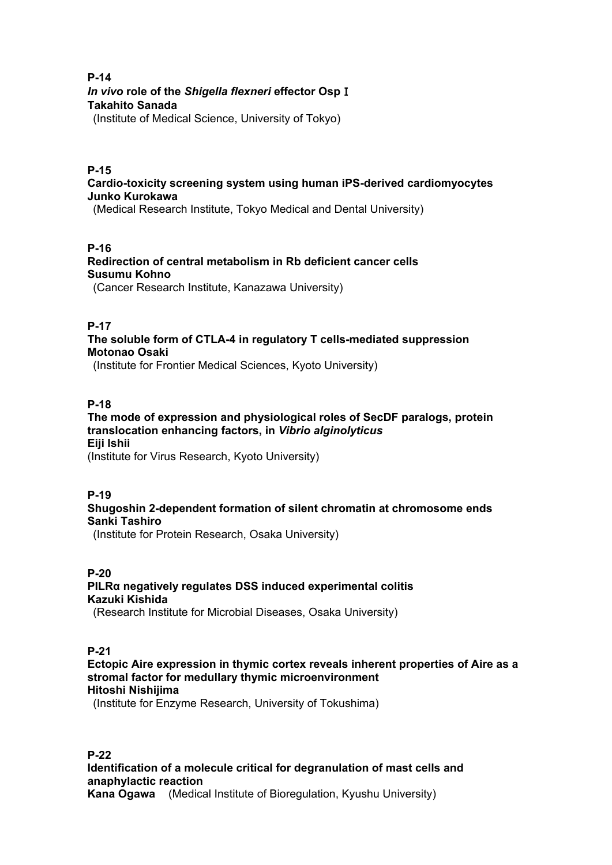#### **P-14**  *In vivo* **role of the** *Shigella flexneri* **effector Osp**Ⅰ **Takahito Sanada**

(Institute of Medical Science, University of Tokyo)

#### **P-15**

**Cardio-toxicity screening system using human iPS-derived cardiomyocytes Junko Kurokawa** 

(Medical Research Institute, Tokyo Medical and Dental University)

#### **P-16**

**Redirection of central metabolism in Rb deficient cancer cells Susumu Kohno** 

(Cancer Research Institute, Kanazawa University)

## **P-17**

**The soluble form of CTLA-4 in regulatory T cells-mediated suppression Motonao Osaki** 

(Institute for Frontier Medical Sciences, Kyoto University)

## **P-18**

## **The mode of expression and physiological roles of SecDF paralogs, protein translocation enhancing factors, in** *Vibrio alginolyticus* **Eiji Ishii**

(Institute for Virus Research, Kyoto University)

## **P-19**

# **Shugoshin 2-dependent formation of silent chromatin at chromosome ends Sanki Tashiro**

(Institute for Protein Research, Osaka University)

#### **P-20 PILRα negatively regulates DSS induced experimental colitis Kazuki Kishida**

(Research Institute for Microbial Diseases, Osaka University)

## **P-21**

**Ectopic Aire expression in thymic cortex reveals inherent properties of Aire as a stromal factor for medullary thymic microenvironment Hitoshi Nishijima** 

(Institute for Enzyme Research, University of Tokushima)

#### **P-22 Identification of a molecule critical for degranulation of mast cells and anaphylactic reaction Kana Ogawa** (Medical Institute of Bioregulation, Kyushu University)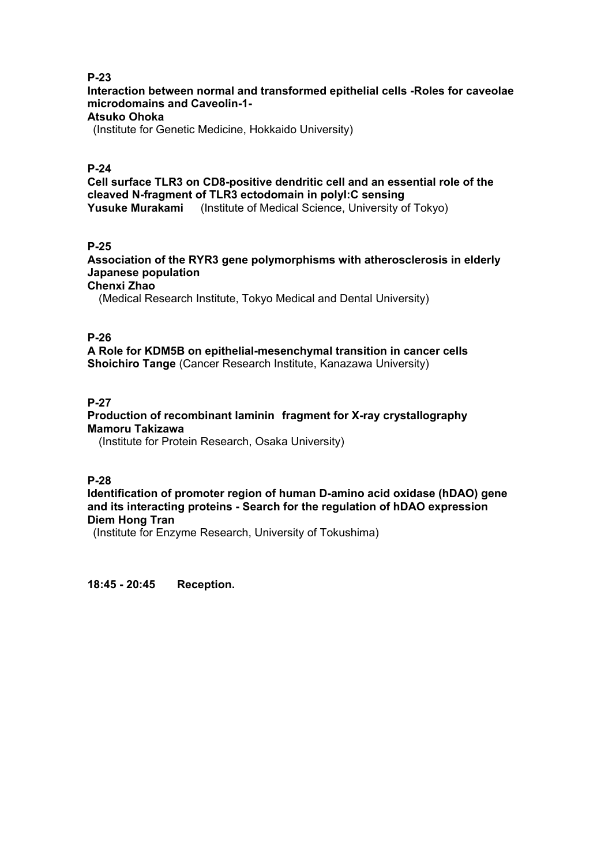## **P-23**

**Interaction between normal and transformed epithelial cells -Roles for caveolae microdomains and Caveolin-1-** 

# **Atsuko Ohoka**

(Institute for Genetic Medicine, Hokkaido University)

## **P-24**

**Cell surface TLR3 on CD8-positive dendritic cell and an essential role of the cleaved N-fragment of TLR3 ectodomain in polyI:C sensing Yusuke Murakami** (Institute of Medical Science, University of Tokyo)

## **P-25**

**Association of the RYR3 gene polymorphisms with atherosclerosis in elderly Japanese population** 

## **Chenxi Zhao**

(Medical Research Institute, Tokyo Medical and Dental University)

## **P-26**

**A Role for KDM5B on epithelial-mesenchymal transition in cancer cells Shoichiro Tange** (Cancer Research Institute, Kanazawa University)

## **P-27**

#### **Production of recombinant laminin fragment for X-ray crystallography Mamoru Takizawa**

(Institute for Protein Research, Osaka University)

**P-28** 

#### **Identification of promoter region of human D-amino acid oxidase (hDAO) gene and its interacting proteins - Search for the regulation of hDAO expression Diem Hong Tran**

(Institute for Enzyme Research, University of Tokushima)

**18:45 - 20:45 Reception.**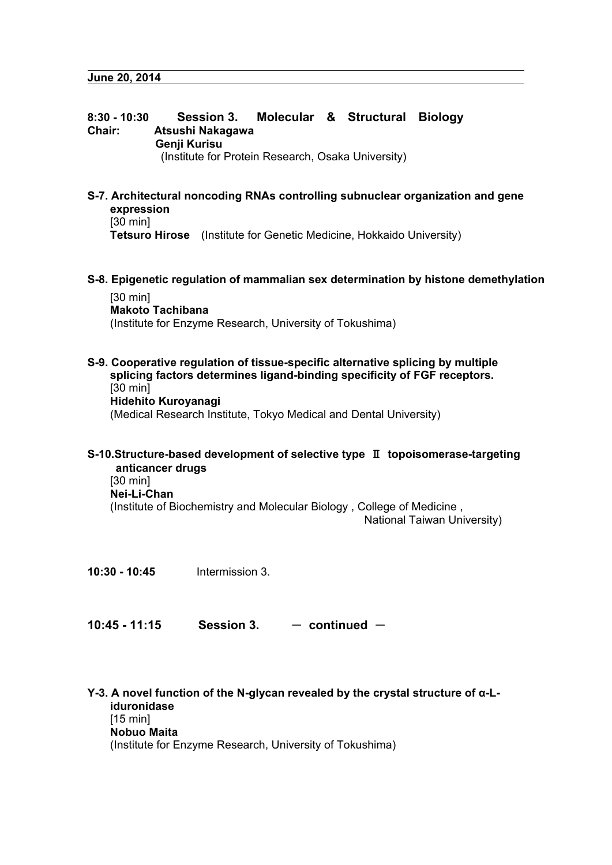# **8:30 - 10:30 Session 3. Molecular & Structural Biology Chair: Atsushi Nakagawa Genji Kurisu**  (Institute for Protein Research, Osaka University)

# **S-7. Architectural noncoding RNAs controlling subnuclear organization and gene expression**

[30 min]

**Tetsuro Hirose** (Institute for Genetic Medicine, Hokkaido University)

**S-8. Epigenetic regulation of mammalian sex determination by histone demethylation** 

[30 min] **Makoto Tachibana**  (Institute for Enzyme Research, University of Tokushima)

**S-9. Cooperative regulation of tissue-specific alternative splicing by multiple splicing factors determines ligand-binding specificity of FGF receptors.**  [30 min] **Hidehito Kuroyanagi**  (Medical Research Institute, Tokyo Medical and Dental University)

#### **S-10.Structure-based development of selective type** Ⅱ **topoisomerase-targeting anticancer drugs**  [30 min] **Nei-Li-Chan**  (Institute of Biochemistry and Molecular Biology , College of Medicine ,

National Taiwan University)

**10:30 - 10:45** Intermission 3.

**10:45 - 11:15** Session 3.  $-$  continued  $-$ 

**Y-3. A novel function of the N-glycan revealed by the crystal structure of α-Liduronidase**  [15 min] **Nobuo Maita**  (Institute for Enzyme Research, University of Tokushima)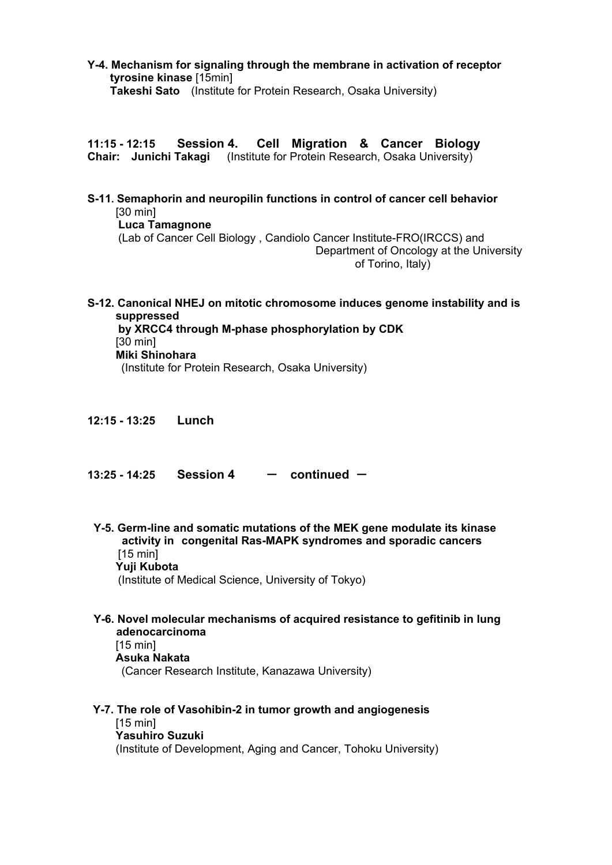#### **Y-4. Mechanism for signaling through the membrane in activation of receptor tyrosine kinase** [15min] **Takeshi Sato** (Institute for Protein Research, Osaka University)

**11:15 - 12:15 Session 4. Cell Migration & Cancer Biology Chair: Junichi Takagi** (Institute for Protein Research, Osaka University)

- **S-11. Semaphorin and neuropilin functions in control of cancer cell behavior** [30 min]  **Luca Tamagnone**  (Lab of Cancer Cell Biology , Candiolo Cancer Institute-FRO(IRCCS) and Department of Oncology at the University of Torino, Italy)
- **S-12. Canonical NHEJ on mitotic chromosome induces genome instability and is suppressed by XRCC4 through M-phase phosphorylation by CDK**  [30 min] **Miki Shinohara**  (Institute for Protein Research, Osaka University)
- **12:15 13:25 Lunch**
- **13:25 14:25 Session 4 Continued -**
- **Y-5. Germ-line and somatic mutations of the MEK gene modulate its kinase activity in congenital Ras-MAPK syndromes and sporadic cancers**  [15 min] **Yuji Kubota**  (Institute of Medical Science, University of Tokyo)

**Y-6. Novel molecular mechanisms of acquired resistance to gefitinib in lung adenocarcinoma**  [15 min] **Asuka Nakata** 

(Cancer Research Institute, Kanazawa University)

**Y-7. The role of Vasohibin-2 in tumor growth and angiogenesis**  [15 min] **Yasuhiro Suzuki**  (Institute of Development, Aging and Cancer, Tohoku University)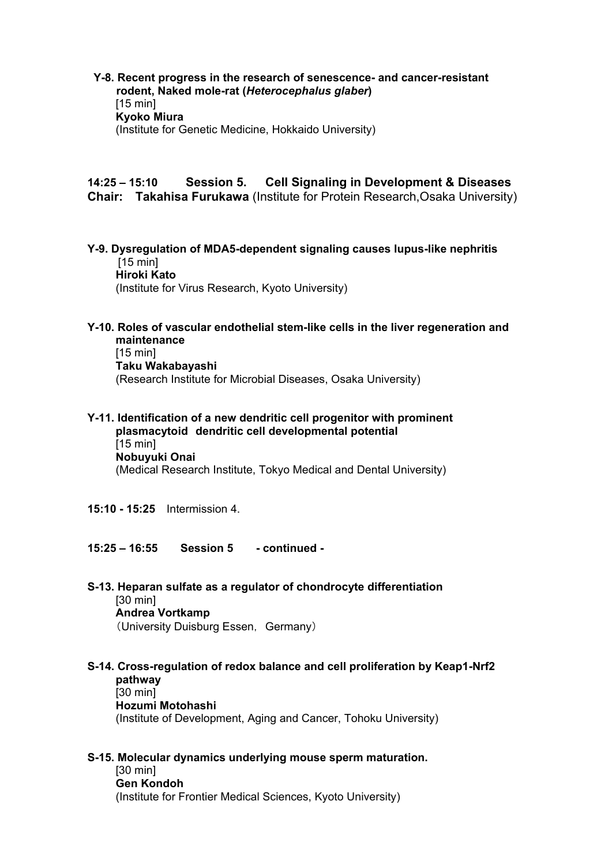**Y-8. Recent progress in the research of senescence- and cancer-resistant rodent, Naked mole-rat (***Heterocephalus glaber***)**   $[15 \text{ min}]$ **Kyoko Miura** (Institute for Genetic Medicine, Hokkaido University)

#### **14:25 – 15:10 Session 5. Cell Signaling in Development & Diseases Chair: Takahisa Furukawa** (Institute for Protein Research,Osaka University)

- **Y-9. Dysregulation of MDA5-dependent signaling causes lupus-like nephritis**  [15 min] **Hiroki Kato**  (Institute for Virus Research, Kyoto University)
- **Y-10. Roles of vascular endothelial stem-like cells in the liver regeneration and maintenance**  [15 min]

**Taku Wakabayashi** 

(Research Institute for Microbial Diseases, Osaka University)

- **Y-11. Identification of a new dendritic cell progenitor with prominent plasmacytoid dendritic cell developmental potential**  [15 min] **Nobuyuki Onai**  (Medical Research Institute, Tokyo Medical and Dental University)
- **15:10 15:25** Intermission 4.
- **15:25 16:55 Session 5 continued**
- **S-13. Heparan sulfate as a regulator of chondrocyte differentiation**  [30 min] **Andrea Vortkamp** (University Duisburg Essen, Germany)
- **S-14. Cross-regulation of redox balance and cell proliferation by Keap1-Nrf2 pathway**  [30 min] **Hozumi Motohashi**  (Institute of Development, Aging and Cancer, Tohoku University)
- **S-15. Molecular dynamics underlying mouse sperm maturation.**  [30 min] **Gen Kondoh**

(Institute for Frontier Medical Sciences, Kyoto University)